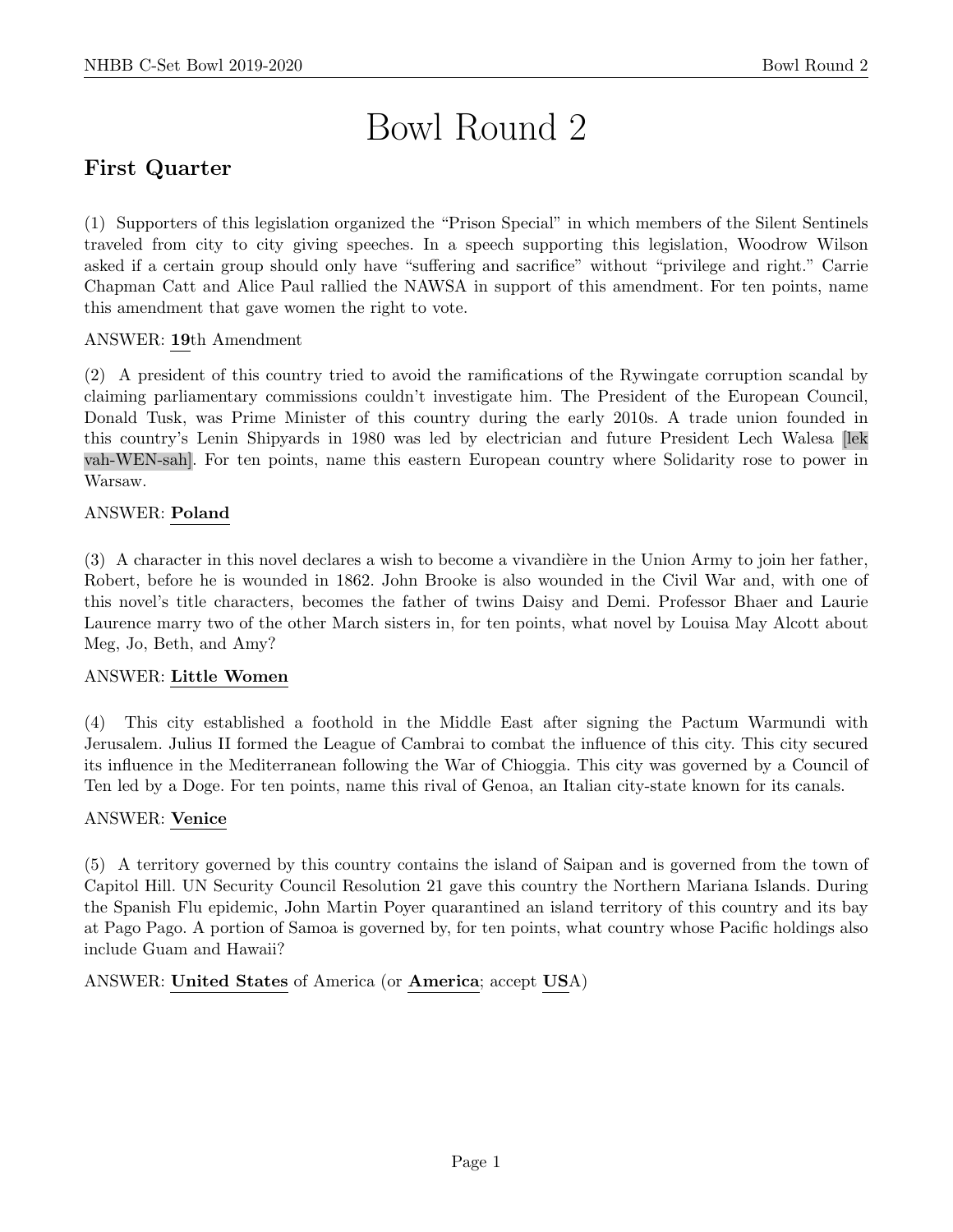# Bowl Round 2

# First Quarter

(1) Supporters of this legislation organized the "Prison Special" in which members of the Silent Sentinels traveled from city to city giving speeches. In a speech supporting this legislation, Woodrow Wilson asked if a certain group should only have "suffering and sacrifice" without "privilege and right." Carrie Chapman Catt and Alice Paul rallied the NAWSA in support of this amendment. For ten points, name this amendment that gave women the right to vote.

# ANSWER: 19th Amendment

(2) A president of this country tried to avoid the ramifications of the Rywingate corruption scandal by claiming parliamentary commissions couldn't investigate him. The President of the European Council, Donald Tusk, was Prime Minister of this country during the early 2010s. A trade union founded in this country's Lenin Shipyards in 1980 was led by electrician and future President Lech Walesa [lek vah-WEN-sah]. For ten points, name this eastern European country where Solidarity rose to power in Warsaw.

# ANSWER: Poland

(3) A character in this novel declares a wish to become a vivandière in the Union Army to join her father, Robert, before he is wounded in 1862. John Brooke is also wounded in the Civil War and, with one of this novel's title characters, becomes the father of twins Daisy and Demi. Professor Bhaer and Laurie Laurence marry two of the other March sisters in, for ten points, what novel by Louisa May Alcott about Meg, Jo, Beth, and Amy?

# ANSWER: Little Women

(4) This city established a foothold in the Middle East after signing the Pactum Warmundi with Jerusalem. Julius II formed the League of Cambrai to combat the influence of this city. This city secured its influence in the Mediterranean following the War of Chioggia. This city was governed by a Council of Ten led by a Doge. For ten points, name this rival of Genoa, an Italian city-state known for its canals.

# ANSWER: Venice

(5) A territory governed by this country contains the island of Saipan and is governed from the town of Capitol Hill. UN Security Council Resolution 21 gave this country the Northern Mariana Islands. During the Spanish Flu epidemic, John Martin Poyer quarantined an island territory of this country and its bay at Pago Pago. A portion of Samoa is governed by, for ten points, what country whose Pacific holdings also include Guam and Hawaii?

ANSWER: United States of America (or America; accept USA)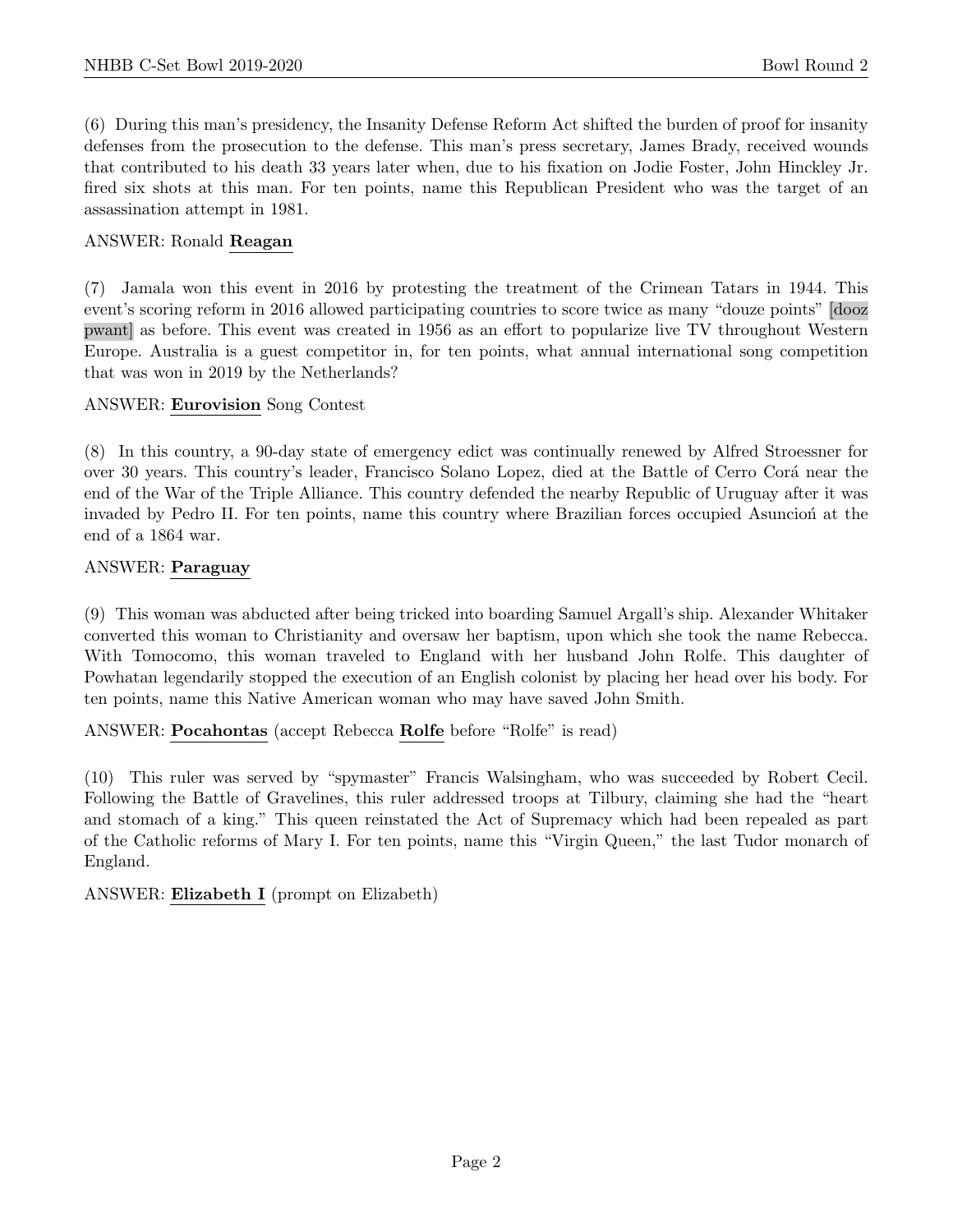(6) During this man's presidency, the Insanity Defense Reform Act shifted the burden of proof for insanity defenses from the prosecution to the defense. This man's press secretary, James Brady, received wounds that contributed to his death 33 years later when, due to his fixation on Jodie Foster, John Hinckley Jr. fired six shots at this man. For ten points, name this Republican President who was the target of an assassination attempt in 1981.

#### ANSWER: Ronald Reagan

(7) Jamala won this event in 2016 by protesting the treatment of the Crimean Tatars in 1944. This event's scoring reform in 2016 allowed participating countries to score twice as many "douze points" [dooz pwant] as before. This event was created in 1956 as an effort to popularize live TV throughout Western Europe. Australia is a guest competitor in, for ten points, what annual international song competition that was won in 2019 by the Netherlands?

#### ANSWER: Eurovision Song Contest

(8) In this country, a 90-day state of emergency edict was continually renewed by Alfred Stroessner for over 30 years. This country's leader, Francisco Solano Lopez, died at the Battle of Cerro Corá near the end of the War of the Triple Alliance. This country defended the nearby Republic of Uruguay after it was invaded by Pedro II. For ten points, name this country where Brazilian forces occupied Asuncion at the end of a 1864 war.

#### ANSWER: Paraguay

(9) This woman was abducted after being tricked into boarding Samuel Argall's ship. Alexander Whitaker converted this woman to Christianity and oversaw her baptism, upon which she took the name Rebecca. With Tomocomo, this woman traveled to England with her husband John Rolfe. This daughter of Powhatan legendarily stopped the execution of an English colonist by placing her head over his body. For ten points, name this Native American woman who may have saved John Smith.

ANSWER: Pocahontas (accept Rebecca Rolfe before "Rolfe" is read)

(10) This ruler was served by "spymaster" Francis Walsingham, who was succeeded by Robert Cecil. Following the Battle of Gravelines, this ruler addressed troops at Tilbury, claiming she had the "heart and stomach of a king." This queen reinstated the Act of Supremacy which had been repealed as part of the Catholic reforms of Mary I. For ten points, name this "Virgin Queen," the last Tudor monarch of England.

ANSWER: Elizabeth I (prompt on Elizabeth)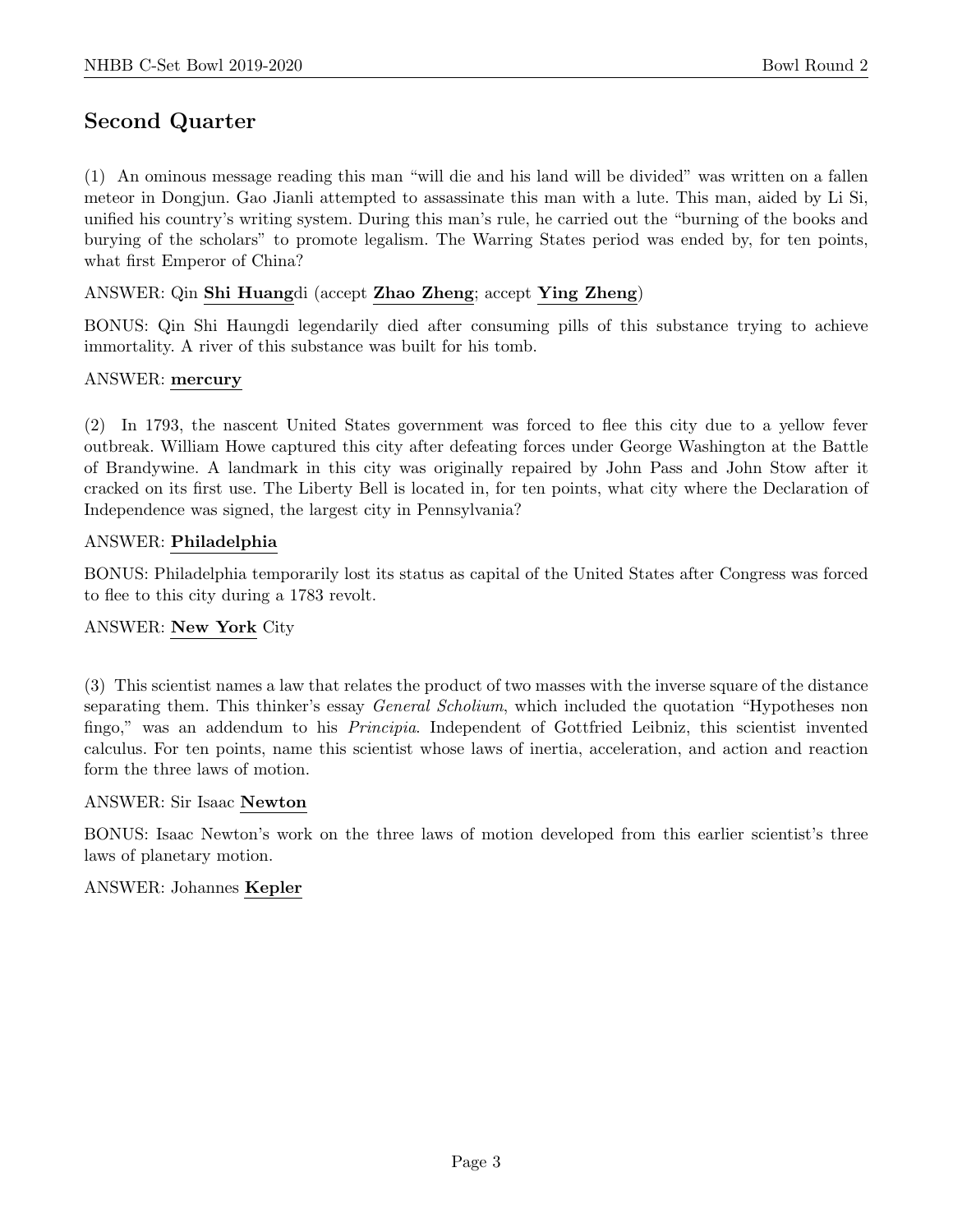# Second Quarter

(1) An ominous message reading this man "will die and his land will be divided" was written on a fallen meteor in Dongjun. Gao Jianli attempted to assassinate this man with a lute. This man, aided by Li Si, unified his country's writing system. During this man's rule, he carried out the "burning of the books and burying of the scholars" to promote legalism. The Warring States period was ended by, for ten points, what first Emperor of China?

#### ANSWER: Qin Shi Huangdi (accept Zhao Zheng; accept Ying Zheng)

BONUS: Qin Shi Haungdi legendarily died after consuming pills of this substance trying to achieve immortality. A river of this substance was built for his tomb.

#### ANSWER: mercury

(2) In 1793, the nascent United States government was forced to flee this city due to a yellow fever outbreak. William Howe captured this city after defeating forces under George Washington at the Battle of Brandywine. A landmark in this city was originally repaired by John Pass and John Stow after it cracked on its first use. The Liberty Bell is located in, for ten points, what city where the Declaration of Independence was signed, the largest city in Pennsylvania?

#### ANSWER: Philadelphia

BONUS: Philadelphia temporarily lost its status as capital of the United States after Congress was forced to flee to this city during a 1783 revolt.

# ANSWER: New York City

(3) This scientist names a law that relates the product of two masses with the inverse square of the distance separating them. This thinker's essay *General Scholium*, which included the quotation "Hypotheses non fingo," was an addendum to his Principia. Independent of Gottfried Leibniz, this scientist invented calculus. For ten points, name this scientist whose laws of inertia, acceleration, and action and reaction form the three laws of motion.

#### ANSWER: Sir Isaac Newton

BONUS: Isaac Newton's work on the three laws of motion developed from this earlier scientist's three laws of planetary motion.

#### ANSWER: Johannes Kepler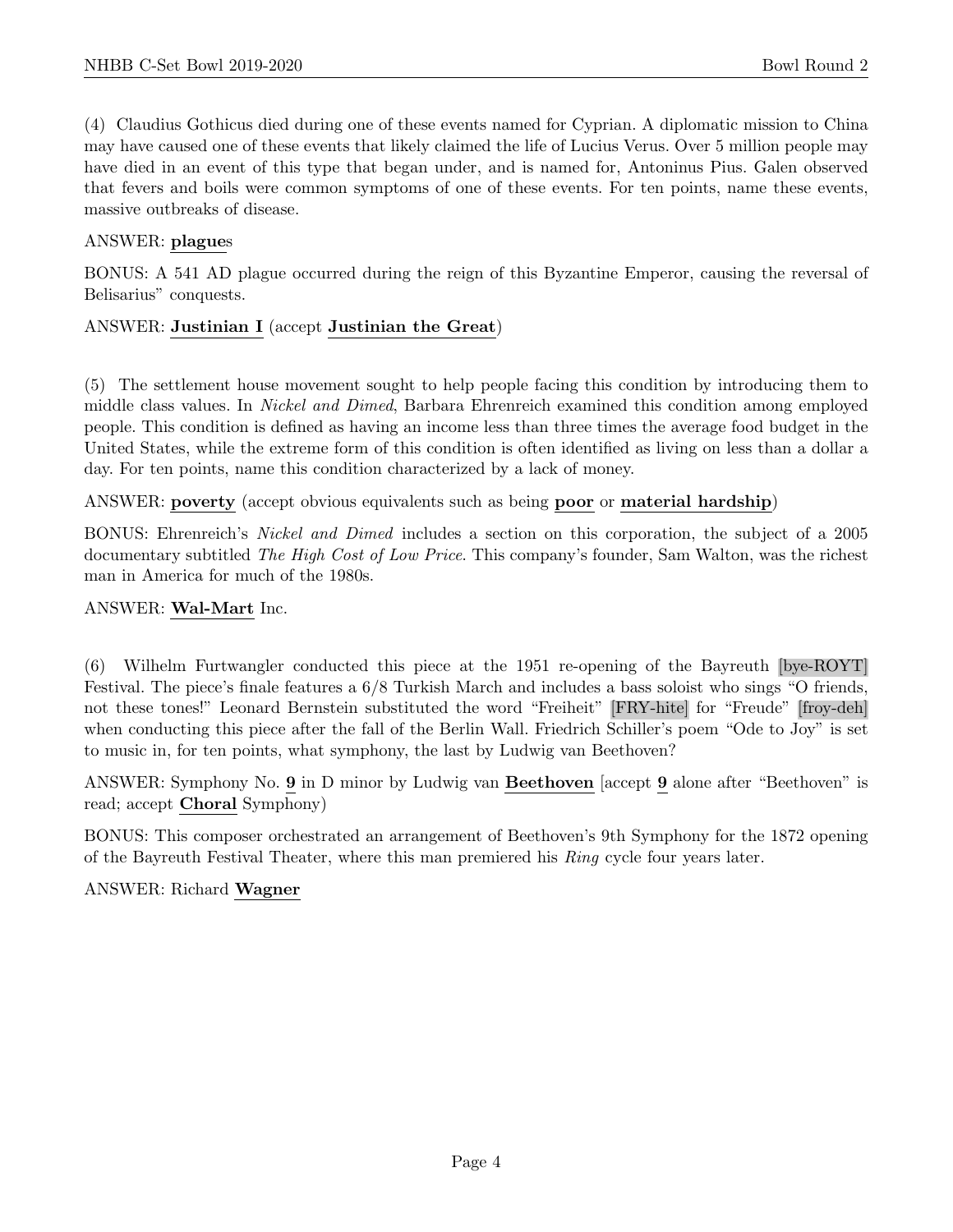(4) Claudius Gothicus died during one of these events named for Cyprian. A diplomatic mission to China may have caused one of these events that likely claimed the life of Lucius Verus. Over 5 million people may have died in an event of this type that began under, and is named for, Antoninus Pius. Galen observed that fevers and boils were common symptoms of one of these events. For ten points, name these events, massive outbreaks of disease.

# ANSWER: plagues

BONUS: A 541 AD plague occurred during the reign of this Byzantine Emperor, causing the reversal of Belisarius" conquests.

# ANSWER: Justinian I (accept Justinian the Great)

(5) The settlement house movement sought to help people facing this condition by introducing them to middle class values. In Nickel and Dimed, Barbara Ehrenreich examined this condition among employed people. This condition is defined as having an income less than three times the average food budget in the United States, while the extreme form of this condition is often identified as living on less than a dollar a day. For ten points, name this condition characterized by a lack of money.

ANSWER: poverty (accept obvious equivalents such as being poor or material hardship)

BONUS: Ehrenreich's Nickel and Dimed includes a section on this corporation, the subject of a 2005 documentary subtitled The High Cost of Low Price. This company's founder, Sam Walton, was the richest man in America for much of the 1980s.

# ANSWER: Wal-Mart Inc.

(6) Wilhelm Furtwangler conducted this piece at the 1951 re-opening of the Bayreuth [bye-ROYT] Festival. The piece's finale features a 6/8 Turkish March and includes a bass soloist who sings "O friends, not these tones!" Leonard Bernstein substituted the word "Freiheit" [FRY-hite] for "Freude" [froy-deh] when conducting this piece after the fall of the Berlin Wall. Friedrich Schiller's poem "Ode to Joy" is set to music in, for ten points, what symphony, the last by Ludwig van Beethoven?

ANSWER: Symphony No. 9 in D minor by Ludwig van Beethoven [accept 9 alone after "Beethoven" is read; accept Choral Symphony)

BONUS: This composer orchestrated an arrangement of Beethoven's 9th Symphony for the 1872 opening of the Bayreuth Festival Theater, where this man premiered his Ring cycle four years later.

# ANSWER: Richard Wagner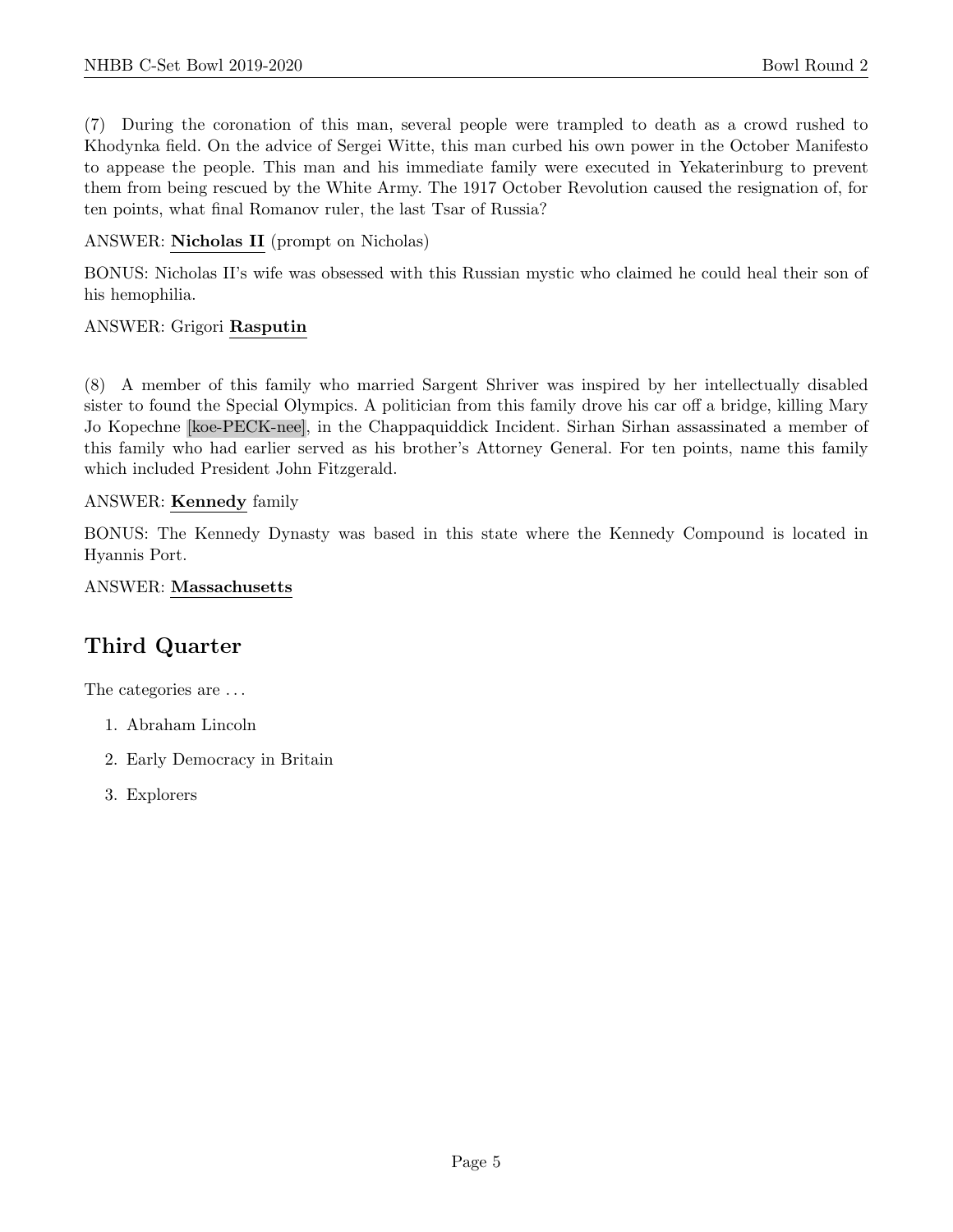(7) During the coronation of this man, several people were trampled to death as a crowd rushed to Khodynka field. On the advice of Sergei Witte, this man curbed his own power in the October Manifesto to appease the people. This man and his immediate family were executed in Yekaterinburg to prevent them from being rescued by the White Army. The 1917 October Revolution caused the resignation of, for ten points, what final Romanov ruler, the last Tsar of Russia?

#### ANSWER: Nicholas II (prompt on Nicholas)

BONUS: Nicholas II's wife was obsessed with this Russian mystic who claimed he could heal their son of his hemophilia.

#### ANSWER: Grigori Rasputin

(8) A member of this family who married Sargent Shriver was inspired by her intellectually disabled sister to found the Special Olympics. A politician from this family drove his car off a bridge, killing Mary Jo Kopechne [koe-PECK-nee], in the Chappaquiddick Incident. Sirhan Sirhan assassinated a member of this family who had earlier served as his brother's Attorney General. For ten points, name this family which included President John Fitzgerald.

#### ANSWER: Kennedy family

BONUS: The Kennedy Dynasty was based in this state where the Kennedy Compound is located in Hyannis Port.

#### ANSWER: Massachusetts

# Third Quarter

The categories are  $\dots$ 

- 1. Abraham Lincoln
- 2. Early Democracy in Britain
- 3. Explorers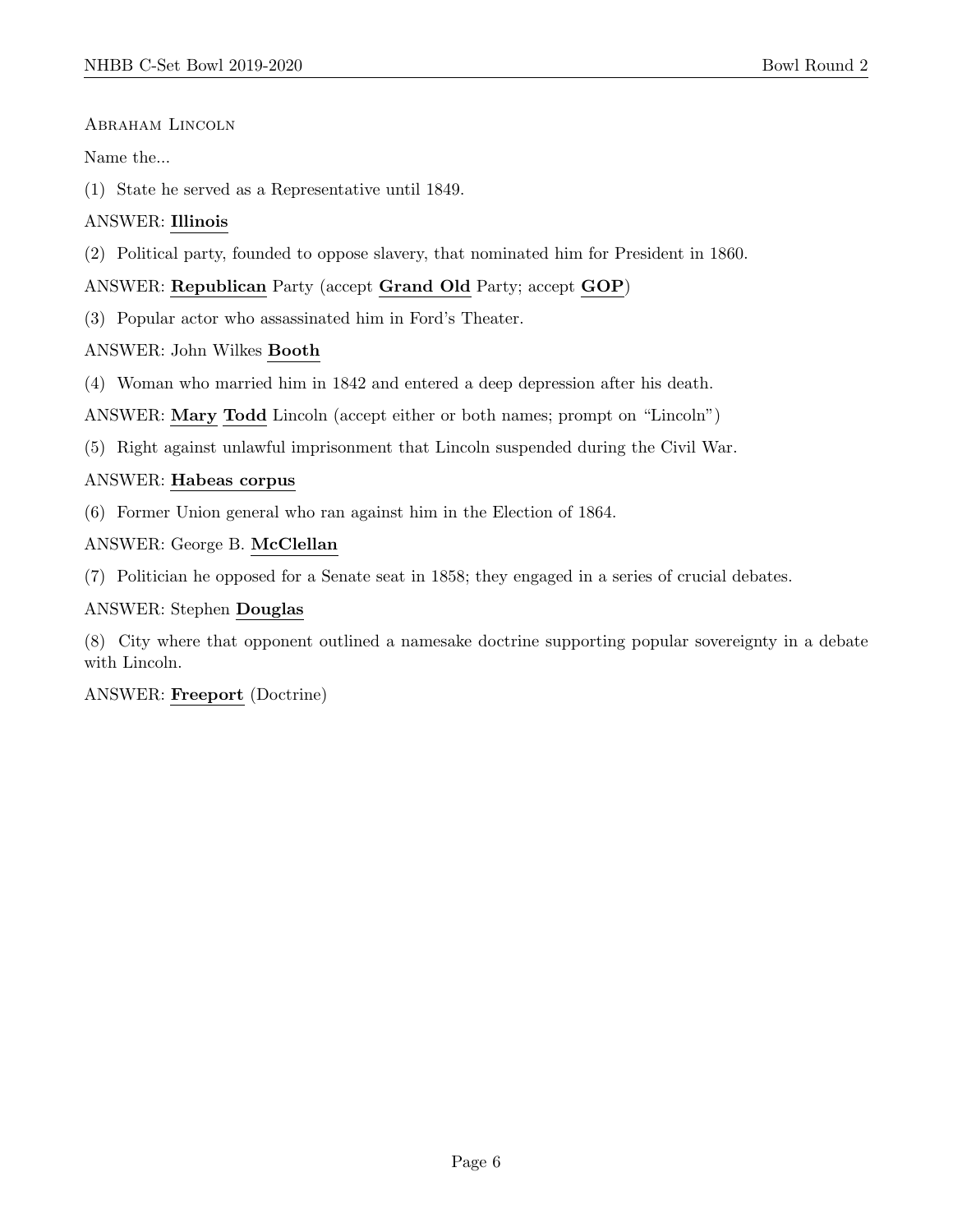# Abraham Lincoln

# Name the...

(1) State he served as a Representative until 1849.

# ANSWER: Illinois

(2) Political party, founded to oppose slavery, that nominated him for President in 1860.

# ANSWER: Republican Party (accept Grand Old Party; accept GOP)

(3) Popular actor who assassinated him in Ford's Theater.

ANSWER: John Wilkes Booth

(4) Woman who married him in 1842 and entered a deep depression after his death.

ANSWER: Mary Todd Lincoln (accept either or both names; prompt on "Lincoln")

(5) Right against unlawful imprisonment that Lincoln suspended during the Civil War.

# ANSWER: Habeas corpus

(6) Former Union general who ran against him in the Election of 1864.

ANSWER: George B. McClellan

(7) Politician he opposed for a Senate seat in 1858; they engaged in a series of crucial debates.

# ANSWER: Stephen Douglas

(8) City where that opponent outlined a namesake doctrine supporting popular sovereignty in a debate with Lincoln.

# ANSWER: Freeport (Doctrine)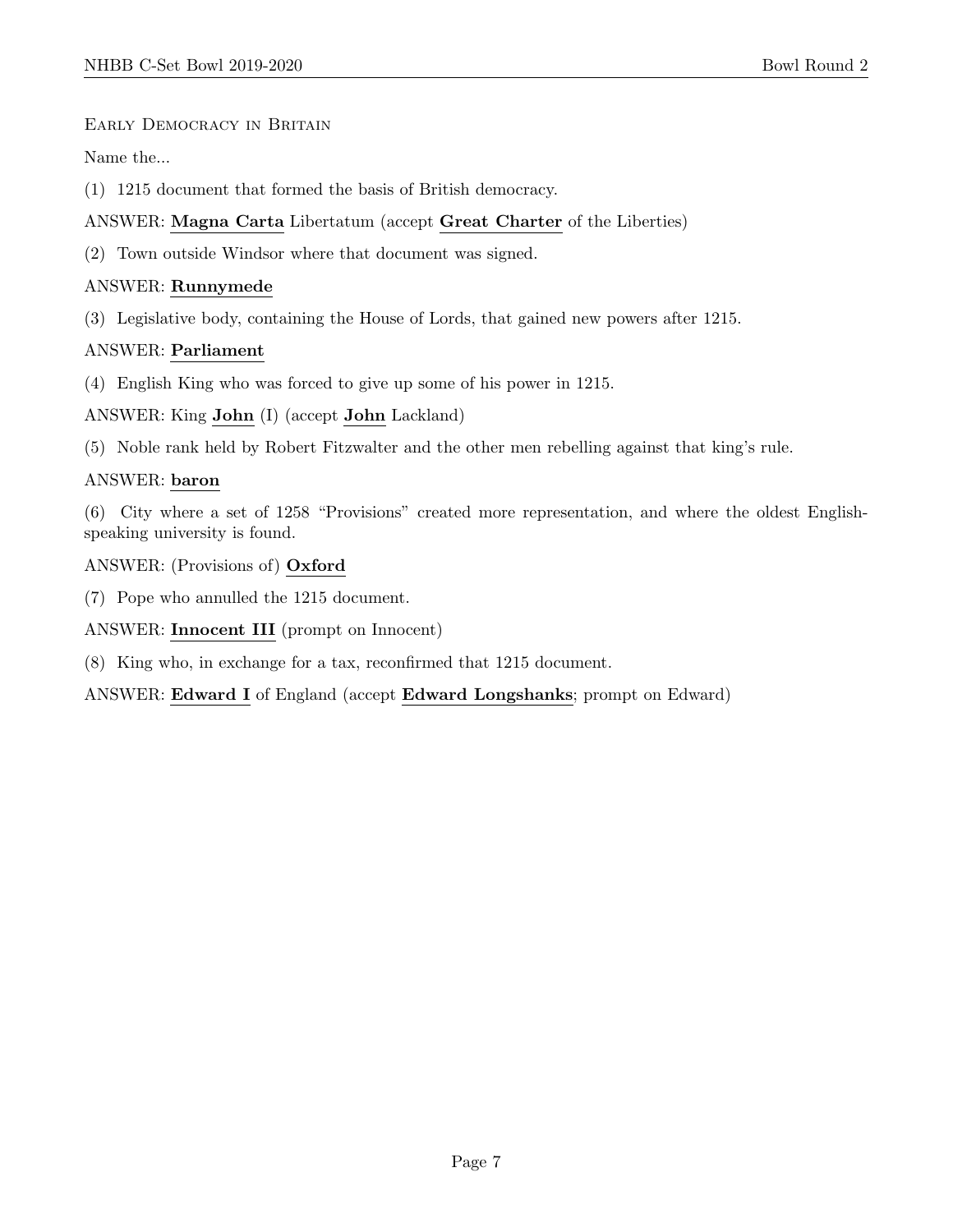# Early Democracy in Britain

Name the...

(1) 1215 document that formed the basis of British democracy.

# ANSWER: Magna Carta Libertatum (accept Great Charter of the Liberties)

(2) Town outside Windsor where that document was signed.

# ANSWER: Runnymede

(3) Legislative body, containing the House of Lords, that gained new powers after 1215.

# ANSWER: Parliament

(4) English King who was forced to give up some of his power in 1215.

ANSWER: King John (I) (accept John Lackland)

(5) Noble rank held by Robert Fitzwalter and the other men rebelling against that king's rule.

# ANSWER: baron

(6) City where a set of 1258 "Provisions" created more representation, and where the oldest Englishspeaking university is found.

ANSWER: (Provisions of) Oxford

(7) Pope who annulled the 1215 document.

ANSWER: Innocent III (prompt on Innocent)

(8) King who, in exchange for a tax, reconfirmed that 1215 document.

ANSWER: Edward I of England (accept Edward Longshanks; prompt on Edward)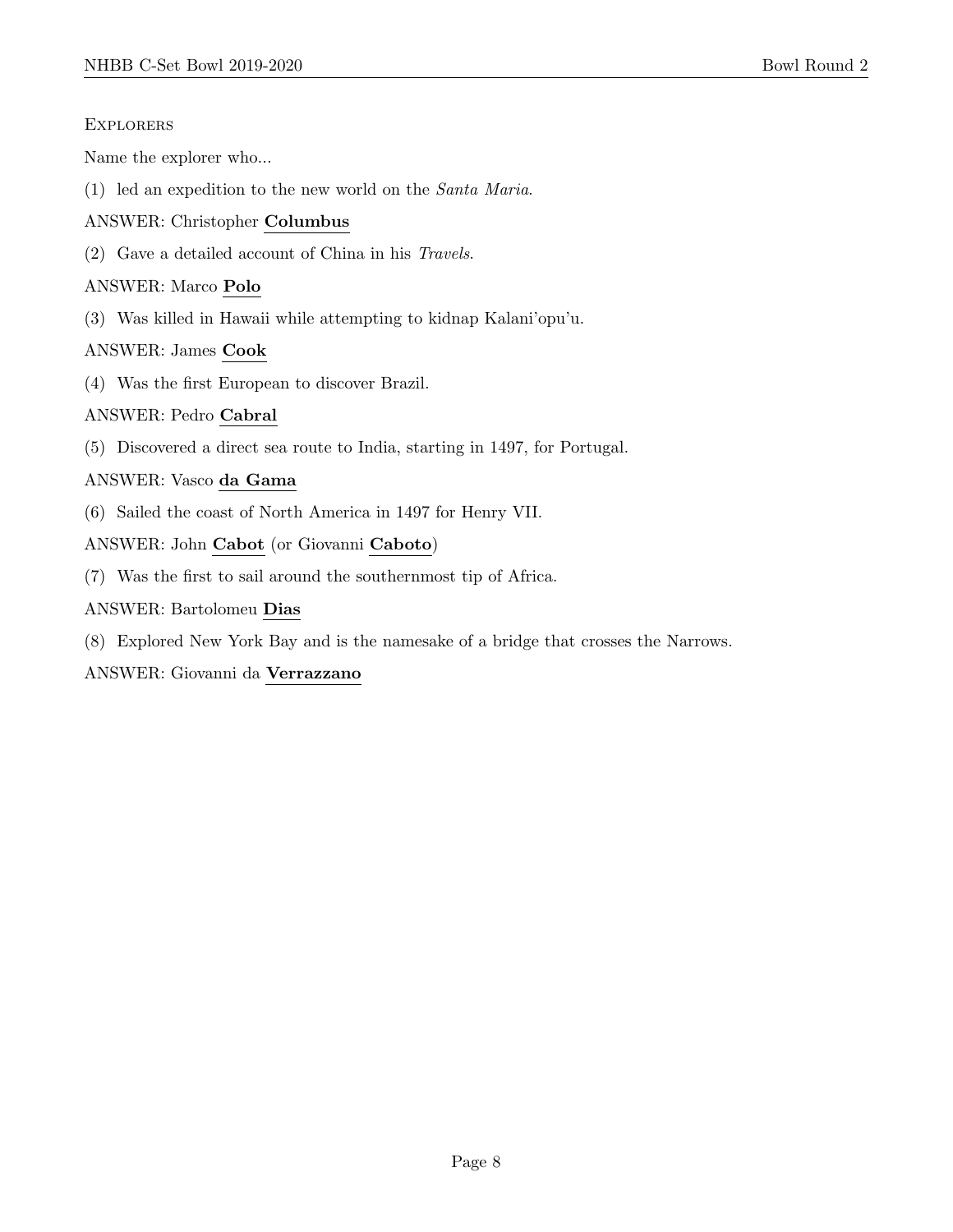#### **EXPLORERS**

Name the explorer who...

(1) led an expedition to the new world on the Santa Maria.

# ANSWER: Christopher Columbus

(2) Gave a detailed account of China in his Travels.

# ANSWER: Marco Polo

(3) Was killed in Hawaii while attempting to kidnap Kalani'opu'u.

# ANSWER: James Cook

(4) Was the first European to discover Brazil.

# ANSWER: Pedro Cabral

(5) Discovered a direct sea route to India, starting in 1497, for Portugal.

# ANSWER: Vasco da Gama

- (6) Sailed the coast of North America in 1497 for Henry VII.
- ANSWER: John Cabot (or Giovanni Caboto)
- (7) Was the first to sail around the southernmost tip of Africa.

#### ANSWER: Bartolomeu Dias

(8) Explored New York Bay and is the namesake of a bridge that crosses the Narrows.

ANSWER: Giovanni da Verrazzano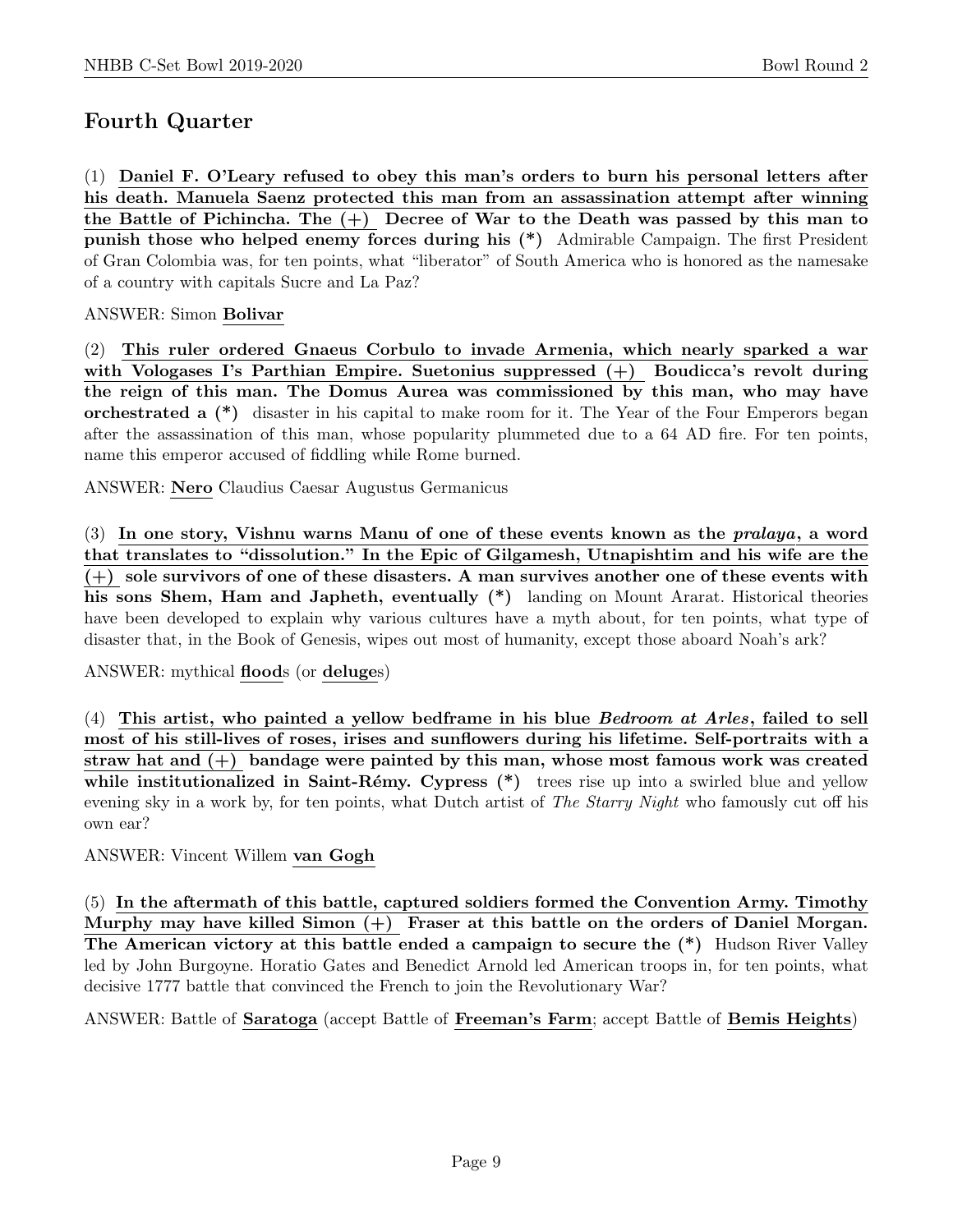# Fourth Quarter

(1) Daniel F. O'Leary refused to obey this man's orders to burn his personal letters after his death. Manuela Saenz protected this man from an assassination attempt after winning the Battle of Pichincha. The  $(+)$  Decree of War to the Death was passed by this man to punish those who helped enemy forces during his (\*) Admirable Campaign. The first President of Gran Colombia was, for ten points, what "liberator" of South America who is honored as the namesake of a country with capitals Sucre and La Paz?

# ANSWER: Simon Bolivar

(2) This ruler ordered Gnaeus Corbulo to invade Armenia, which nearly sparked a war with Vologases I's Parthian Empire. Suetonius suppressed (+) Boudicca's revolt during the reign of this man. The Domus Aurea was commissioned by this man, who may have orchestrated a (\*) disaster in his capital to make room for it. The Year of the Four Emperors began after the assassination of this man, whose popularity plummeted due to a 64 AD fire. For ten points, name this emperor accused of fiddling while Rome burned.

ANSWER: Nero Claudius Caesar Augustus Germanicus

(3) In one story, Vishnu warns Manu of one of these events known as the pralaya, a word that translates to "dissolution." In the Epic of Gilgamesh, Utnapishtim and his wife are the (+) sole survivors of one of these disasters. A man survives another one of these events with his sons Shem, Ham and Japheth, eventually  $(*)$  landing on Mount Ararat. Historical theories have been developed to explain why various cultures have a myth about, for ten points, what type of disaster that, in the Book of Genesis, wipes out most of humanity, except those aboard Noah's ark?

ANSWER: mythical floods (or deluges)

 $(4)$  This artist, who painted a yellow bedframe in his blue *Bedroom at Arles*, failed to sell most of his still-lives of roses, irises and sunflowers during his lifetime. Self-portraits with a straw hat and  $(+)$  bandage were painted by this man, whose most famous work was created while institutionalized in Saint-Rémy. Cypress  $(*)$  trees rise up into a swirled blue and yellow evening sky in a work by, for ten points, what Dutch artist of The Starry Night who famously cut off his own ear?

ANSWER: Vincent Willem van Gogh

(5) In the aftermath of this battle, captured soldiers formed the Convention Army. Timothy Murphy may have killed Simon (+) Fraser at this battle on the orders of Daniel Morgan. The American victory at this battle ended a campaign to secure the (\*) Hudson River Valley led by John Burgoyne. Horatio Gates and Benedict Arnold led American troops in, for ten points, what decisive 1777 battle that convinced the French to join the Revolutionary War?

ANSWER: Battle of Saratoga (accept Battle of Freeman's Farm; accept Battle of Bemis Heights)